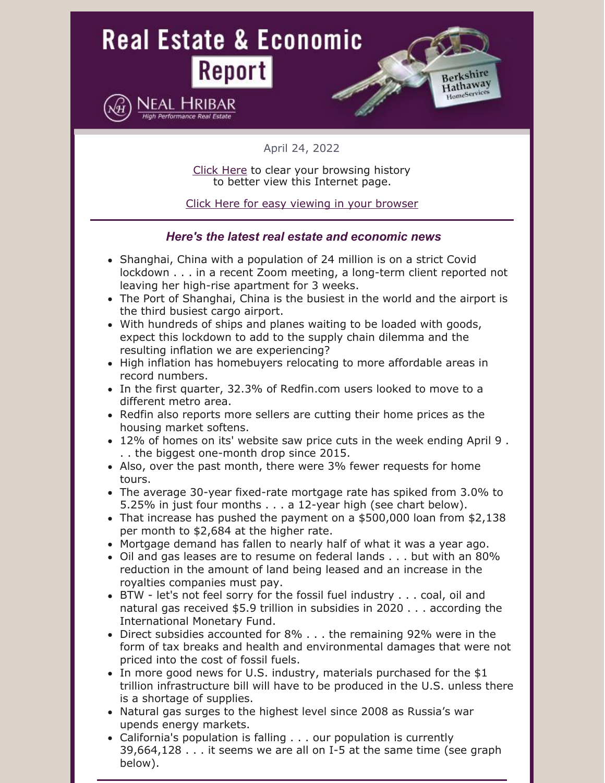

April 24, 2022

Click [Here](https://www.hribar.com/downloads/browser.pdf) to clear your browsing history to better view this Internet page.

Click Here for easy viewing in your [browser](https://campaignlp.constantcontact.com/em/1100436294407/3f6db127-83ed-48cb-a143-37d0c9f6df3f)

### *Here's the latest real estate and economic news*

- Shanghai, China with a population of 24 million is on a strict Covid lockdown . . . in a recent Zoom meeting, a long-term client reported not leaving her high-rise apartment for 3 weeks.
- The Port of Shanghai, China is the busiest in the world and the airport is the third busiest cargo airport.
- With hundreds of ships and planes waiting to be loaded with goods, expect this lockdown to add to the supply chain dilemma and the resulting inflation we are experiencing?
- High inflation has homebuyers relocating to more affordable areas in record numbers.
- In the first quarter, 32.3% of Redfin.com users looked to move to a different metro area.
- Redfin also reports more sellers are cutting their home prices as the housing market softens.
- 12% of homes on its' website saw price cuts in the week ending April 9 . . . the biggest one-month drop since 2015.
- Also, over the past month, there were 3% fewer requests for home tours.
- The average 30-year [fixed-rate](https://fred.stlouisfed.org/series/MORTGAGE30US) mortgage rate has spiked from 3.0% to 5.25% in just four months . . . a 12-year high (see chart below).
- That increase has pushed the payment on a  $$500,000$  loan from  $$2,138$ per month to \$2,684 at the higher rate.
- Mortgage demand has fallen to nearly half of what it was a year ago.
- Oil and gas leases are to resume on federal lands . . . but with an 80% reduction in the amount of land being leased and an increase in the royalties companies must pay.
- BTW let's not feel sorry for the fossil fuel industry . . . coal, oil and natural gas received \$5.9 trillion in subsidies in 2020 . . . according the International Monetary Fund.
- Direct subsidies accounted for 8% . . . the remaining 92% were in the form of tax breaks and health and environmental damages that were not priced into the cost of fossil fuels.
- In more good news for U.S. industry, materials purchased for the \$1 trillion infrastructure bill will have to be produced in the U.S. unless there is a shortage of supplies.
- Natural gas surges to the highest level since 2008 as Russia's war upends energy markets.
- California's population is falling . . . our population is currently 39,664,128 . . . it seems we are all on I-5 at the same time (see graph below).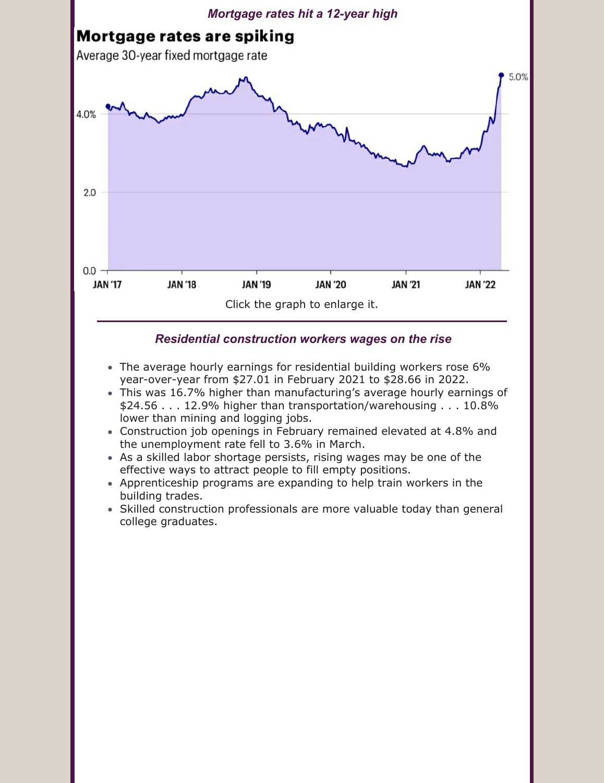

- The average hourly earnings for residential building workers rose 6% year-over-year from \$27.01 in February 2021 to \$28.66 in 2022.
- This was 16.7% higher than manufacturing's average hourly earnings of \$24.56 . . . 12.9% higher than transportation/warehousing . . . 10.8% lower than mining and logging jobs.
- Construction job openings in February remained elevated at 4.8% and the unemployment rate fell to 3.6% in March.
- As a skilled labor shortage persists, rising wages may be one of the effective ways to attract people to fill empty positions.
- Apprenticeship programs are expanding to help train workers in the building trades.
- Skilled construction professionals are more valuable today than general college graduates.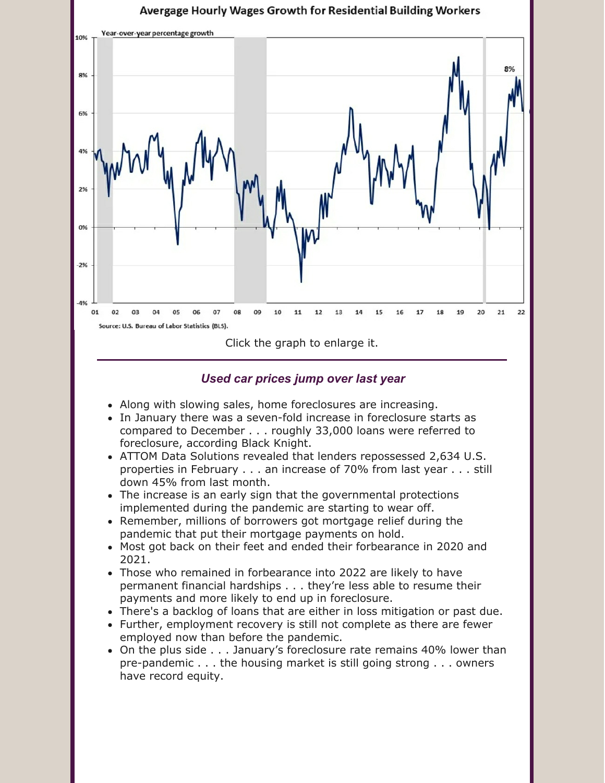

### *Used car prices jump over last year*

- Along with slowing sales, home foreclosures are increasing.
- In January there was a seven-fold increase in foreclosure starts as compared to December . . . roughly 33,000 loans were referred to foreclosure, according Black Knight.
- ATTOM Data Solutions revealed that lenders repossessed 2,634 U.S. properties in February . . . an increase of 70% from last year . . . still down 45% from last month.
- The increase is an early sign that the governmental protections implemented during the pandemic are starting to wear off.
- Remember, millions of borrowers got mortgage relief during the pandemic that put their mortgage payments on hold.
- Most got back on their feet and ended their forbearance in 2020 and 2021.
- Those who remained in forbearance into 2022 are likely to have permanent financial hardships . . . they're less able to resume their payments and more likely to end up in foreclosure.
- There's a backlog of loans that are either in loss mitigation or past due.
- Further, employment recovery is still not complete as there are fewer employed now than before the pandemic.
- On the plus side . . . January's foreclosure rate remains 40% lower than pre-pandemic . . . the housing market is still going strong . . . owners have record equity.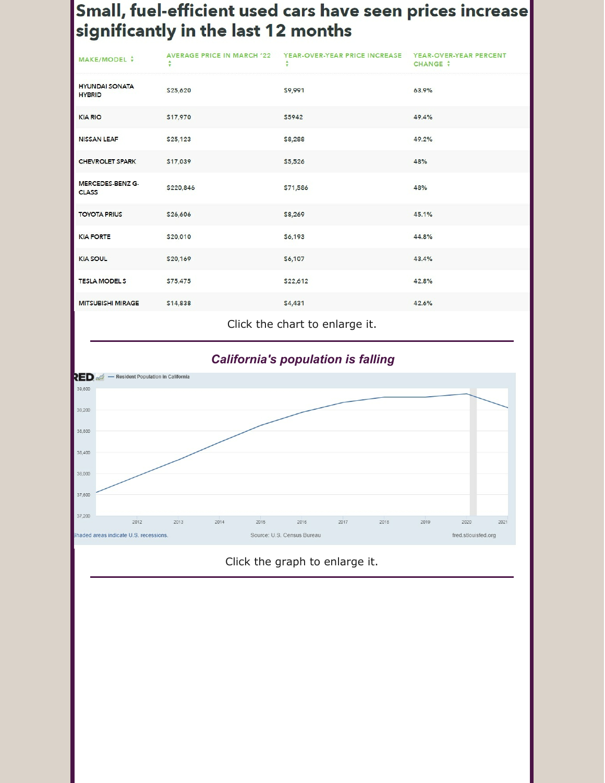## Small, fuel-efficient used cars have seen prices increase significantly in the last 12 months

| MAKE/MODEL +                            | <b>AVERAGE PRICE IN MARCH '22</b><br>÷ | YEAR-OVER-YEAR PRICE INCREASE<br>$\overline{\mathbf{v}}$ | YEAR-OVER-YEAR PERCENT<br><b>CHANGE +</b> |
|-----------------------------------------|----------------------------------------|----------------------------------------------------------|-------------------------------------------|
| <b>HYUNDAI SONATA</b><br><b>HYBRID</b>  | \$25,620                               | \$9,991                                                  | 63.9%                                     |
| <b>KIA RIO</b>                          | \$17,970                               | \$5942                                                   | 49.4%                                     |
| <b>NISSAN LEAF</b>                      | \$25,123                               | \$8,288                                                  | 49.2%                                     |
| <b>CHEVROLET SPARK</b>                  | \$17,039                               | \$5,526                                                  | 48%                                       |
| <b>MERCEDES-BENZ G-</b><br><b>CLASS</b> | \$220,846                              | \$71,586                                                 | 48%                                       |
| <b>TOYOTA PRIUS</b>                     | \$26,606                               | \$8,269                                                  | 45.1%                                     |
| <b>KIA FORTE</b>                        | \$20,010                               | \$6,193                                                  | 44.8%                                     |
| <b>KIA SOUL</b>                         | \$20,169                               | \$6,107                                                  | 43.4%                                     |
| <b>TESLA MODELS</b>                     | \$75,475                               | \$22,612                                                 | 42.8%                                     |
| <b>MITSUBISHI MIRAGE</b>                | \$14,838                               | \$4,431                                                  | 42.6%                                     |

Click the chart to enlarge it.



### Click the graph to enlarge it.